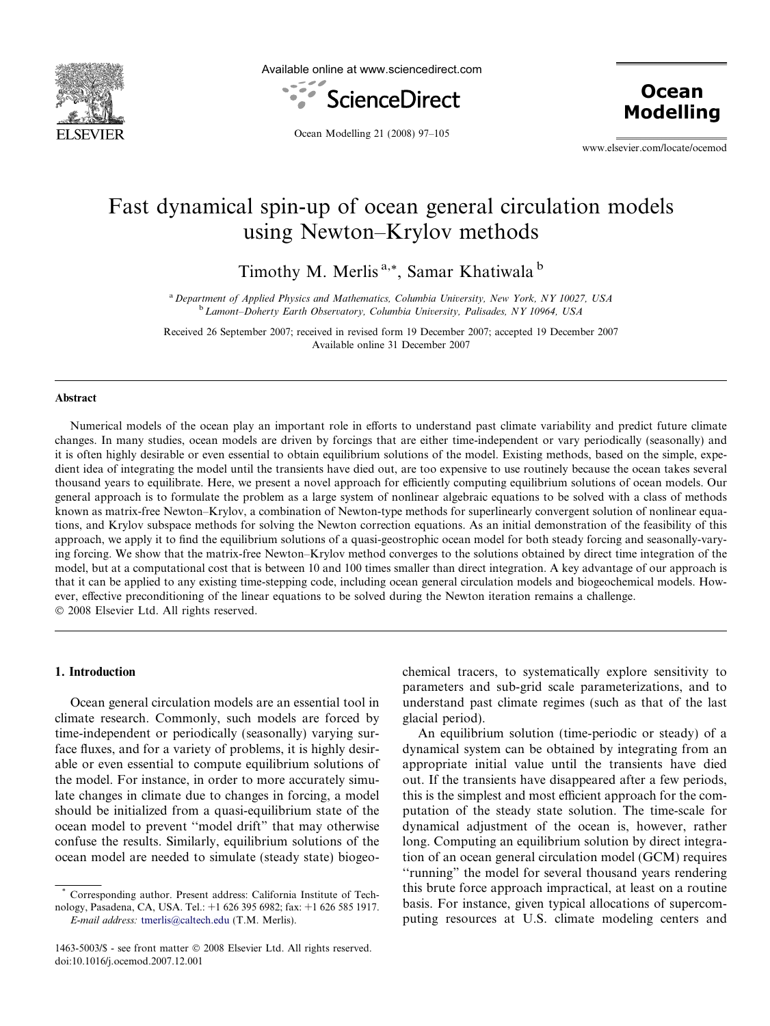

Available online at www.sciencedirect.com



**Ocean Modelling** 

Ocean Modelling 21 (2008) 97–105

www.elsevier.com/locate/ocemod

# Fast dynamical spin-up of ocean general circulation models using Newton–Krylov methods

Timothy M. Merlis<sup>a,\*</sup>, Samar Khatiwala<sup>b</sup>

<sup>a</sup> Department of Applied Physics and Mathematics, Columbia University, New York, NY 10027, USA <sup>b</sup> Lamont–Doherty Earth Observatory, Columbia University, Palisades, NY 10964, USA

Received 26 September 2007; received in revised form 19 December 2007; accepted 19 December 2007 Available online 31 December 2007

## Abstract

Numerical models of the ocean play an important role in efforts to understand past climate variability and predict future climate changes. In many studies, ocean models are driven by forcings that are either time-independent or vary periodically (seasonally) and it is often highly desirable or even essential to obtain equilibrium solutions of the model. Existing methods, based on the simple, expedient idea of integrating the model until the transients have died out, are too expensive to use routinely because the ocean takes several thousand years to equilibrate. Here, we present a novel approach for efficiently computing equilibrium solutions of ocean models. Our general approach is to formulate the problem as a large system of nonlinear algebraic equations to be solved with a class of methods known as matrix-free Newton–Krylov, a combination of Newton-type methods for superlinearly convergent solution of nonlinear equations, and Krylov subspace methods for solving the Newton correction equations. As an initial demonstration of the feasibility of this approach, we apply it to find the equilibrium solutions of a quasi-geostrophic ocean model for both steady forcing and seasonally-varying forcing. We show that the matrix-free Newton–Krylov method converges to the solutions obtained by direct time integration of the model, but at a computational cost that is between 10 and 100 times smaller than direct integration. A key advantage of our approach is that it can be applied to any existing time-stepping code, including ocean general circulation models and biogeochemical models. However, effective preconditioning of the linear equations to be solved during the Newton iteration remains a challenge.  $© 2008 Elsevier Ltd. All rights reserved.$ 

## 1. Introduction

Ocean general circulation models are an essential tool in climate research. Commonly, such models are forced by time-independent or periodically (seasonally) varying surface fluxes, and for a variety of problems, it is highly desirable or even essential to compute equilibrium solutions of the model. For instance, in order to more accurately simulate changes in climate due to changes in forcing, a model should be initialized from a quasi-equilibrium state of the ocean model to prevent ''model drift" that may otherwise confuse the results. Similarly, equilibrium solutions of the ocean model are needed to simulate (steady state) biogeochemical tracers, to systematically explore sensitivity to parameters and sub-grid scale parameterizations, and to understand past climate regimes (such as that of the last glacial period).

An equilibrium solution (time-periodic or steady) of a dynamical system can be obtained by integrating from an appropriate initial value until the transients have died out. If the transients have disappeared after a few periods, this is the simplest and most efficient approach for the computation of the steady state solution. The time-scale for dynamical adjustment of the ocean is, however, rather long. Computing an equilibrium solution by direct integration of an ocean general circulation model (GCM) requires ''running" the model for several thousand years rendering this brute force approach impractical, at least on a routine basis. For instance, given typical allocations of supercomputing resources at U.S. climate modeling centers and

Corresponding author. Present address: California Institute of Technology, Pasadena, CA, USA. Tel.: +1 626 395 6982; fax: +1 626 585 1917. E-mail address: [tmerlis@caltech.edu](mailto:tmerlis@caltech.edu) (T.M. Merlis).

<sup>1463-5003/\$ -</sup> see front matter © 2008 Elsevier Ltd. All rights reserved. doi:10.1016/j.ocemod.2007.12.001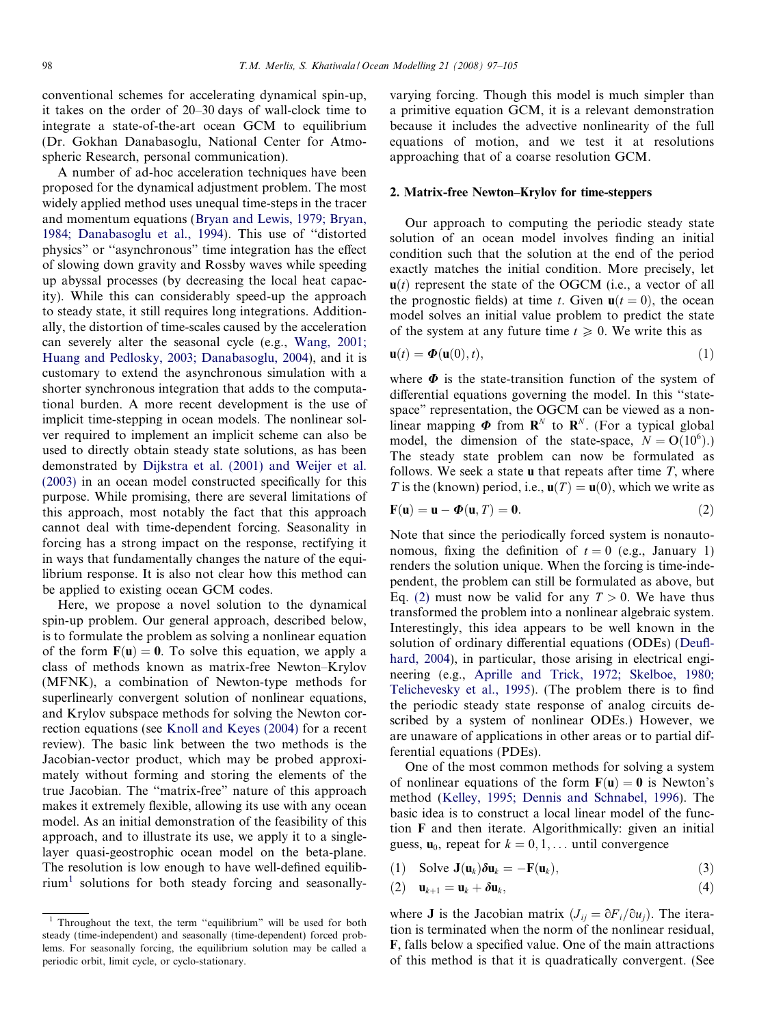<span id="page-1-0"></span>conventional schemes for accelerating dynamical spin-up, it takes on the order of 20–30 days of wall-clock time to integrate a state-of-the-art ocean GCM to equilibrium (Dr. Gokhan Danabasoglu, National Center for Atmospheric Research, personal communication).

A number of ad-hoc acceleration techniques have been proposed for the dynamical adjustment problem. The most widely applied method uses unequal time-steps in the tracer and momentum equations [\(Bryan and Lewis, 1979; Bryan,](#page-8-0) [1984; Danabasoglu et al., 1994](#page-8-0)). This use of ''distorted physics" or ''asynchronous" time integration has the effect of slowing down gravity and Rossby waves while speeding up abyssal processes (by decreasing the local heat capacity). While this can considerably speed-up the approach to steady state, it still requires long integrations. Additionally, the distortion of time-scales caused by the acceleration can severely alter the seasonal cycle (e.g., [Wang, 2001;](#page-8-0) [Huang and Pedlosky, 2003; Danabasoglu, 2004\)](#page-8-0), and it is customary to extend the asynchronous simulation with a shorter synchronous integration that adds to the computational burden. A more recent development is the use of implicit time-stepping in ocean models. The nonlinear solver required to implement an implicit scheme can also be used to directly obtain steady state solutions, as has been demonstrated by [Dijkstra et al. \(2001\) and Weijer et al.](#page-8-0) [\(2003\)](#page-8-0) in an ocean model constructed specifically for this purpose. While promising, there are several limitations of this approach, most notably the fact that this approach cannot deal with time-dependent forcing. Seasonality in forcing has a strong impact on the response, rectifying it in ways that fundamentally changes the nature of the equilibrium response. It is also not clear how this method can be applied to existing ocean GCM codes.

Here, we propose a novel solution to the dynamical spin-up problem. Our general approach, described below, is to formulate the problem as solving a nonlinear equation of the form  $F(u) = 0$ . To solve this equation, we apply a class of methods known as matrix-free Newton–Krylov (MFNK), a combination of Newton-type methods for superlinearly convergent solution of nonlinear equations, and Krylov subspace methods for solving the Newton correction equations (see [Knoll and Keyes \(2004\)](#page-8-0) for a recent review). The basic link between the two methods is the Jacobian-vector product, which may be probed approximately without forming and storing the elements of the true Jacobian. The ''matrix-free" nature of this approach makes it extremely flexible, allowing its use with any ocean model. As an initial demonstration of the feasibility of this approach, and to illustrate its use, we apply it to a singlelayer quasi-geostrophic ocean model on the beta-plane. The resolution is low enough to have well-defined equilib $rium<sup>1</sup>$  solutions for both steady forcing and seasonallyvarying forcing. Though this model is much simpler than a primitive equation GCM, it is a relevant demonstration because it includes the advective nonlinearity of the full equations of motion, and we test it at resolutions approaching that of a coarse resolution GCM.

#### 2. Matrix-free Newton–Krylov for time-steppers

Our approach to computing the periodic steady state solution of an ocean model involves finding an initial condition such that the solution at the end of the period exactly matches the initial condition. More precisely, let  $u(t)$  represent the state of the OGCM (i.e., a vector of all the prognostic fields) at time t. Given  $u(t = 0)$ , the ocean model solves an initial value problem to predict the state of the system at any future time  $t \geq 0$ . We write this as

$$
\mathbf{u}(t) = \mathbf{\Phi}(\mathbf{u}(0), t),\tag{1}
$$

where  $\Phi$  is the state-transition function of the system of differential equations governing the model. In this ''statespace" representation, the OGCM can be viewed as a nonlinear mapping  $\Phi$  from  $\mathbf{R}^{N}$  to  $\mathbf{R}^{N}$ . (For a typical global model, the dimension of the state-space,  $N = O(10^6)$ . The steady state problem can now be formulated as follows. We seek a state  $\bf{u}$  that repeats after time T, where T is the (known) period, i.e.,  $\mathbf{u}(T) = \mathbf{u}(0)$ , which we write as

$$
\mathbf{F}(\mathbf{u}) = \mathbf{u} - \mathbf{\Phi}(\mathbf{u}, T) = \mathbf{0}.\tag{2}
$$

Note that since the periodically forced system is nonautonomous, fixing the definition of  $t = 0$  (e.g., January 1) renders the solution unique. When the forcing is time-independent, the problem can still be formulated as above, but Eq. (2) must now be valid for any  $T > 0$ . We have thus transformed the problem into a nonlinear algebraic system. Interestingly, this idea appears to be well known in the solution of ordinary differential equations (ODEs) ([Deufl](#page-8-0)[hard, 2004](#page-8-0)), in particular, those arising in electrical engineering (e.g., [Aprille and Trick, 1972; Skelboe, 1980;](#page-7-0) [Telichevesky et al., 1995\)](#page-7-0). (The problem there is to find the periodic steady state response of analog circuits described by a system of nonlinear ODEs.) However, we are unaware of applications in other areas or to partial differential equations (PDEs).

One of the most common methods for solving a system of nonlinear equations of the form  $F(u) = 0$  is Newton's method [\(Kelley, 1995; Dennis and Schnabel, 1996](#page-8-0)). The basic idea is to construct a local linear model of the function F and then iterate. Algorithmically: given an initial guess,  $\mathbf{u}_0$ , repeat for  $k = 0, 1, \dots$  until convergence

(1) Solve 
$$
\mathbf{J}(\mathbf{u}_k)\boldsymbol{\delta}\mathbf{u}_k = -\mathbf{F}(\mathbf{u}_k),
$$
 (3)

$$
\mathbf{u}_{k+1} = \mathbf{u}_k + \delta \mathbf{u}_k, \tag{4}
$$

where **J** is the Jacobian matrix  $(J_{ij} = \partial F_i/\partial u_i)$ . The iteration is terminated when the norm of the nonlinear residual, F, falls below a specified value. One of the main attractions of this method is that it is quadratically convergent. (See

<sup>&</sup>lt;sup>1</sup> Throughout the text, the term "equilibrium" will be used for both steady (time-independent) and seasonally (time-dependent) forced problems. For seasonally forcing, the equilibrium solution may be called a periodic orbit, limit cycle, or cyclo-stationary.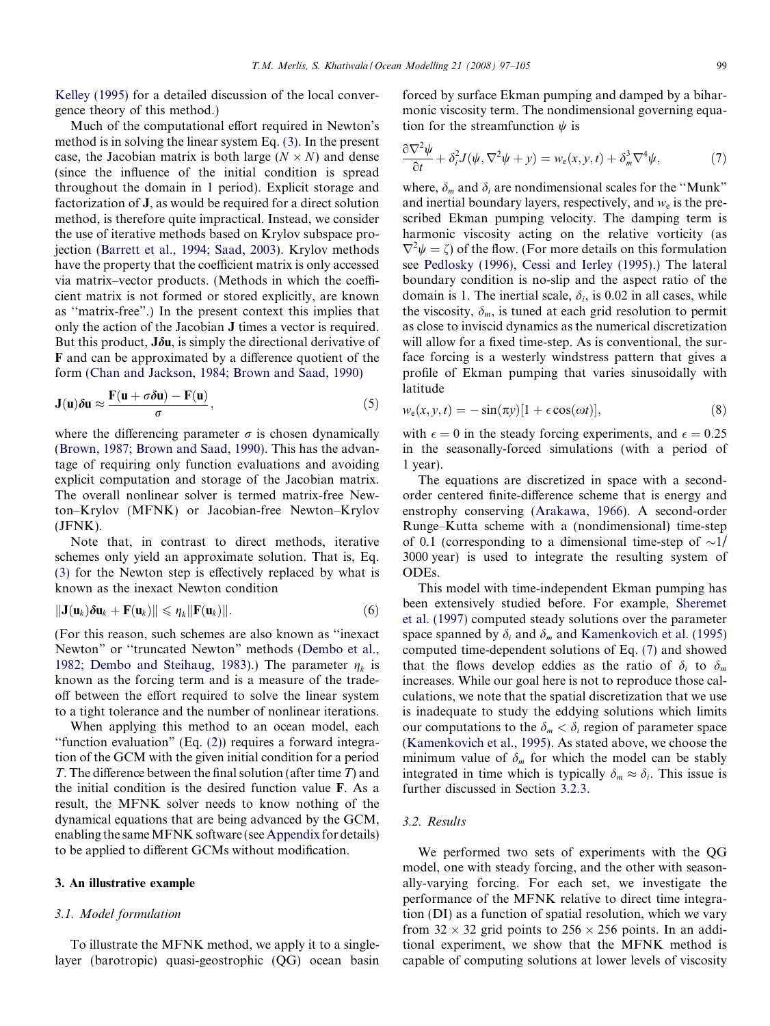<span id="page-2-0"></span>[Kelley \(1995\)](#page-8-0) for a detailed discussion of the local convergence theory of this method.)

Much of the computational effort required in Newton's method is in solving the linear system Eq. [\(3\).](#page-1-0) In the present case, the Jacobian matrix is both large  $(N \times N)$  and dense (since the influence of the initial condition is spread throughout the domain in 1 period). Explicit storage and factorization of J, as would be required for a direct solution method, is therefore quite impractical. Instead, we consider the use of iterative methods based on Krylov subspace projection ([Barrett et al., 1994; Saad, 2003\)](#page-7-0). Krylov methods have the property that the coefficient matrix is only accessed via matrix–vector products. (Methods in which the coefficient matrix is not formed or stored explicitly, are known as ''matrix-free".) In the present context this implies that only the action of the Jacobian J times a vector is required. But this product,  $J\delta u$ , is simply the directional derivative of F and can be approximated by a difference quotient of the form ([Chan and Jackson, 1984; Brown and Saad, 1990\)](#page-8-0)

$$
\mathbf{J}(\mathbf{u})\delta\mathbf{u} \approx \frac{\mathbf{F}(\mathbf{u} + \sigma\delta\mathbf{u}) - \mathbf{F}(\mathbf{u})}{\sigma},\tag{5}
$$

where the differencing parameter  $\sigma$  is chosen dynamically ([Brown, 1987; Brown and Saad, 1990](#page-7-0)). This has the advantage of requiring only function evaluations and avoiding explicit computation and storage of the Jacobian matrix. The overall nonlinear solver is termed matrix-free Newton–Krylov (MFNK) or Jacobian-free Newton–Krylov (JFNK).

Note that, in contrast to direct methods, iterative schemes only yield an approximate solution. That is, Eq. [\(3\)](#page-1-0) for the Newton step is effectively replaced by what is known as the inexact Newton condition

$$
\|\mathbf{J}(\mathbf{u}_k)\boldsymbol{\delta}\mathbf{u}_k+\mathbf{F}(\mathbf{u}_k)\|\leqslant \eta_k \|\mathbf{F}(\mathbf{u}_k)\|.
$$
 (6)

(For this reason, such schemes are also known as ''inexact Newton" or ''truncated Newton" methods ([Dembo et al.,](#page-8-0) [1982; Dembo and Steihaug, 1983\)](#page-8-0).) The parameter  $\eta_k$  is known as the forcing term and is a measure of the tradeoff between the effort required to solve the linear system to a tight tolerance and the number of nonlinear iterations.

When applying this method to an ocean model, each ''function evaluation" (Eq. [\(2\)\)](#page-1-0) requires a forward integration of the GCM with the given initial condition for a period T. The difference between the final solution (after time T) and the initial condition is the desired function value F. As a result, the MFNK solver needs to know nothing of the dynamical equations that are being advanced by the GCM, enabling the sameMFNK software (see Appendix for details) to be applied to different GCMs without modification.

#### 3. An illustrative example

#### 3.1. Model formulation

To illustrate the MFNK method, we apply it to a singlelayer (barotropic) quasi-geostrophic (QG) ocean basin forced by surface Ekman pumping and damped by a biharmonic viscosity term. The nondimensional governing equation for the streamfunction  $\psi$  is

$$
\frac{\partial \nabla^2 \psi}{\partial t} + \delta_i^2 J(\psi, \nabla^2 \psi + y) = w_e(x, y, t) + \delta_m^3 \nabla^4 \psi,
$$
 (7)

where,  $\delta_m$  and  $\delta_i$  are nondimensional scales for the "Munk" and inertial boundary layers, respectively, and  $w_e$  is the prescribed Ekman pumping velocity. The damping term is harmonic viscosity acting on the relative vorticity (as  $\nabla^2 \psi = \zeta$ ) of the flow. (For more details on this formulation see [Pedlosky \(1996\), Cessi and Ierley \(1995\).](#page-8-0)) The lateral boundary condition is no-slip and the aspect ratio of the domain is 1. The inertial scale,  $\delta_i$ , is 0.02 in all cases, while the viscosity,  $\delta_m$ , is tuned at each grid resolution to permit as close to inviscid dynamics as the numerical discretization will allow for a fixed time-step. As is conventional, the surface forcing is a westerly windstress pattern that gives a profile of Ekman pumping that varies sinusoidally with latitude

$$
w_{e}(x, y, t) = -\sin(\pi y)[1 + \epsilon \cos(\omega t)], \qquad (8)
$$

with  $\epsilon = 0$  in the steady forcing experiments, and  $\epsilon = 0.25$ in the seasonally-forced simulations (with a period of 1 year).

The equations are discretized in space with a secondorder centered finite-difference scheme that is energy and enstrophy conserving [\(Arakawa, 1966\)](#page-7-0). A second-order Runge–Kutta scheme with a (nondimensional) time-step of 0.1 (corresponding to a dimensional time-step of  $\sim$ 1/ 3000 year) is used to integrate the resulting system of ODEs.

This model with time-independent Ekman pumping has been extensively studied before. For example, [Sheremet](#page-8-0) [et al. \(1997\)](#page-8-0) computed steady solutions over the parameter space spanned by  $\delta_i$  and  $\delta_m$  and [Kamenkovich et al. \(1995\)](#page-8-0) computed time-dependent solutions of Eq. (7) and showed that the flows develop eddies as the ratio of  $\delta_i$  to  $\delta_m$ increases. While our goal here is not to reproduce those calculations, we note that the spatial discretization that we use is inadequate to study the eddying solutions which limits our computations to the  $\delta_m < \delta_i$  region of parameter space ([Kamenkovich et al., 1995\)](#page-8-0). As stated above, we choose the minimum value of  $\delta_m$  for which the model can be stably integrated in time which is typically  $\delta_m \approx \delta_i$ . This issue is further discussed in Section [3.2.3.](#page-5-0)

# 3.2. Results

We performed two sets of experiments with the QG model, one with steady forcing, and the other with seasonally-varying forcing. For each set, we investigate the performance of the MFNK relative to direct time integration (DI) as a function of spatial resolution, which we vary from  $32 \times 32$  grid points to  $256 \times 256$  points. In an additional experiment, we show that the MFNK method is capable of computing solutions at lower levels of viscosity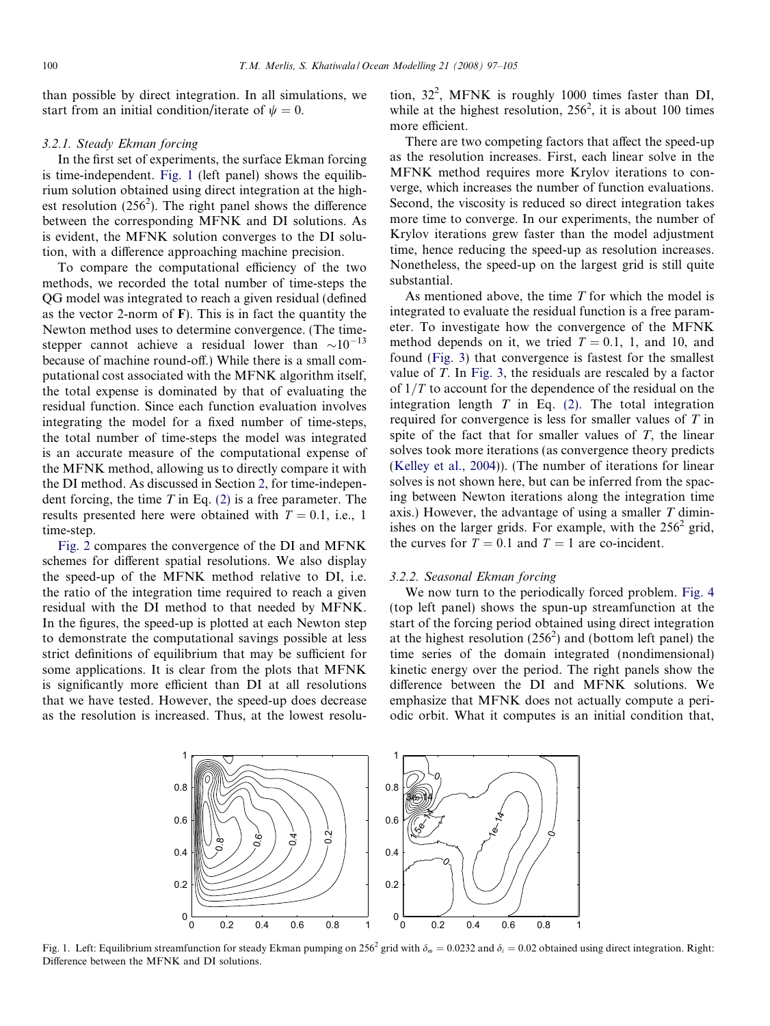<span id="page-3-0"></span>than possible by direct integration. In all simulations, we start from an initial condition/iterate of  $\psi = 0$ .

## 3.2.1. Steady Ekman forcing

In the first set of experiments, the surface Ekman forcing is time-independent. Fig. 1 (left panel) shows the equilibrium solution obtained using direct integration at the highest resolution  $(256^2)$ . The right panel shows the difference between the corresponding MFNK and DI solutions. As is evident, the MFNK solution converges to the DI solution, with a difference approaching machine precision.

To compare the computational efficiency of the two methods, we recorded the total number of time-steps the QG model was integrated to reach a given residual (defined as the vector 2-norm of F). This is in fact the quantity the Newton method uses to determine convergence. (The timestepper cannot achieve a residual lower than  $\sim 10^{-13}$ because of machine round-off.) While there is a small computational cost associated with the MFNK algorithm itself, the total expense is dominated by that of evaluating the residual function. Since each function evaluation involves integrating the model for a fixed number of time-steps, the total number of time-steps the model was integrated is an accurate measure of the computational expense of the MFNK method, allowing us to directly compare it with the DI method. As discussed in Section [2,](#page-1-0) for time-independent forcing, the time  $T$  in Eq. [\(2\)](#page-1-0) is a free parameter. The results presented here were obtained with  $T = 0.1$ , i.e., 1 time-step.

[Fig. 2](#page-4-0) compares the convergence of the DI and MFNK schemes for different spatial resolutions. We also display the speed-up of the MFNK method relative to DI, i.e. the ratio of the integration time required to reach a given residual with the DI method to that needed by MFNK. In the figures, the speed-up is plotted at each Newton step to demonstrate the computational savings possible at less strict definitions of equilibrium that may be sufficient for some applications. It is clear from the plots that MFNK is significantly more efficient than DI at all resolutions that we have tested. However, the speed-up does decrease as the resolution is increased. Thus, at the lowest resolution,  $32^2$ , MFNK is roughly 1000 times faster than DI, while at the highest resolution,  $256^2$ , it is about 100 times more efficient.

There are two competing factors that affect the speed-up as the resolution increases. First, each linear solve in the MFNK method requires more Krylov iterations to converge, which increases the number of function evaluations. Second, the viscosity is reduced so direct integration takes more time to converge. In our experiments, the number of Krylov iterations grew faster than the model adjustment time, hence reducing the speed-up as resolution increases. Nonetheless, the speed-up on the largest grid is still quite substantial.

As mentioned above, the time  $T$  for which the model is integrated to evaluate the residual function is a free parameter. To investigate how the convergence of the MFNK method depends on it, we tried  $T = 0.1$ , 1, and 10, and found [\(Fig. 3](#page-4-0)) that convergence is fastest for the smallest value of T. In [Fig. 3,](#page-4-0) the residuals are rescaled by a factor of  $1/T$  to account for the dependence of the residual on the integration length  $T$  in Eq. [\(2\).](#page-1-0) The total integration required for convergence is less for smaller values of T in spite of the fact that for smaller values of  $T$ , the linear solves took more iterations (as convergence theory predicts [\(Kelley et al., 2004\)](#page-8-0)). (The number of iterations for linear solves is not shown here, but can be inferred from the spacing between Newton iterations along the integration time axis.) However, the advantage of using a smaller T diminishes on the larger grids. For example, with the  $256<sup>2</sup>$  grid, the curves for  $T = 0.1$  and  $T = 1$  are co-incident.

#### 3.2.2. Seasonal Ekman forcing

We now turn to the periodically forced problem. [Fig. 4](#page-5-0) (top left panel) shows the spun-up streamfunction at the start of the forcing period obtained using direct integration at the highest resolution  $(256^2)$  and (bottom left panel) the time series of the domain integrated (nondimensional) kinetic energy over the period. The right panels show the difference between the DI and MFNK solutions. We emphasize that MFNK does not actually compute a periodic orbit. What it computes is an initial condition that,



Fig. 1. Left: Equilibrium streamfunction for steady Ekman pumping on 256<sup>2</sup> grid with  $\delta_m = 0.0232$  and  $\delta_i = 0.02$  obtained using direct integration. Right: Difference between the MFNK and DI solutions.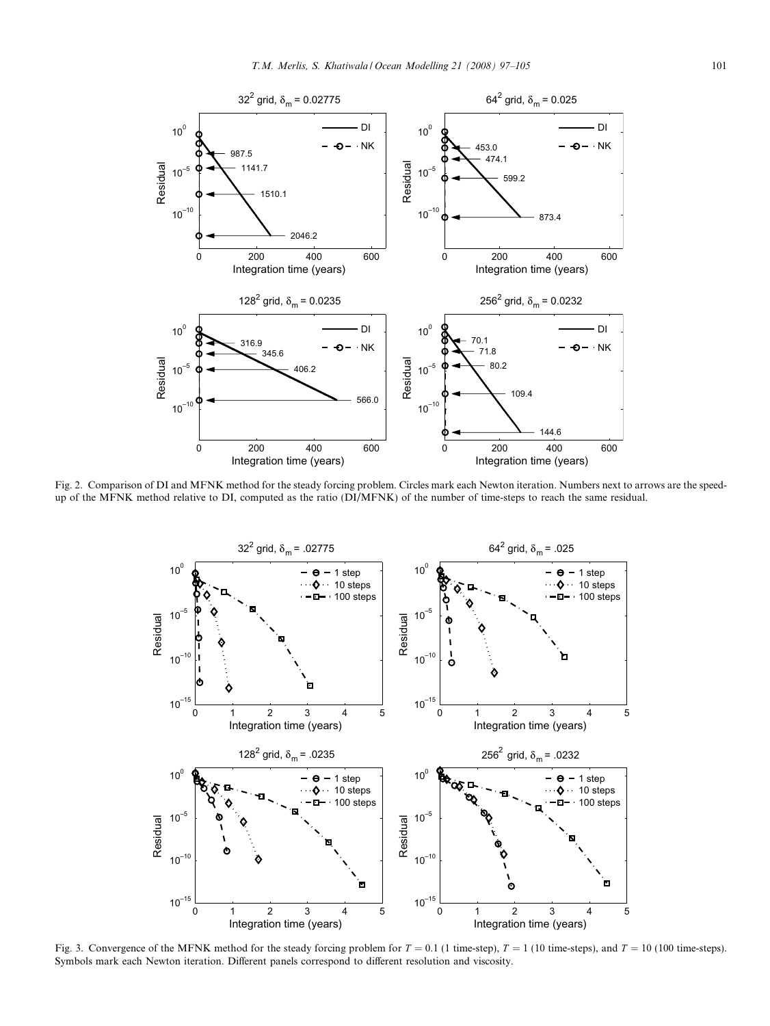<span id="page-4-0"></span>

Fig. 2. Comparison of DI and MFNK method for the steady forcing problem. Circles mark each Newton iteration. Numbers next to arrows are the speedup of the MFNK method relative to DI, computed as the ratio (DI/MFNK) of the number of time-steps to reach the same residual.



Fig. 3. Convergence of the MFNK method for the steady forcing problem for  $T = 0.1$  (1 time-steps),  $T = 1$  (10 time-steps), and  $T = 10$  (100 time-steps). Symbols mark each Newton iteration. Different panels correspond to different resolution and viscosity.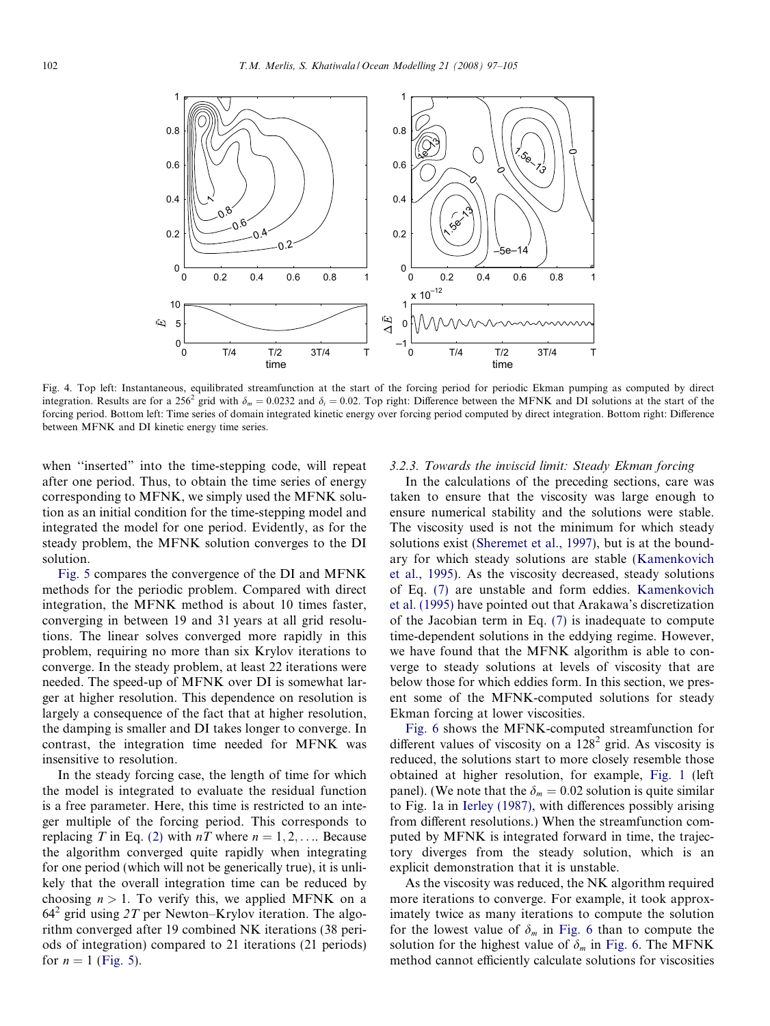<span id="page-5-0"></span>

Fig. 4. Top left: Instantaneous, equilibrated streamfunction at the start of the forcing period for periodic Ekman pumping as computed by direct integration. Results are for a 256<sup>2</sup> grid with  $\delta_m = 0.0232$  and  $\delta_i = 0.02$ . Top right: Difference between the MFNK and DI solutions at the start of the forcing period. Bottom left: Time series of domain integrated kinetic energy over forcing period computed by direct integration. Bottom right: Difference between MFNK and DI kinetic energy time series.

when "inserted" into the time-stepping code, will repeat after one period. Thus, to obtain the time series of energy corresponding to MFNK, we simply used the MFNK solution as an initial condition for the time-stepping model and integrated the model for one period. Evidently, as for the steady problem, the MFNK solution converges to the DI solution.

[Fig. 5](#page-6-0) compares the convergence of the DI and MFNK methods for the periodic problem. Compared with direct integration, the MFNK method is about 10 times faster, converging in between 19 and 31 years at all grid resolutions. The linear solves converged more rapidly in this problem, requiring no more than six Krylov iterations to converge. In the steady problem, at least 22 iterations were needed. The speed-up of MFNK over DI is somewhat larger at higher resolution. This dependence on resolution is largely a consequence of the fact that at higher resolution, the damping is smaller and DI takes longer to converge. In contrast, the integration time needed for MFNK was insensitive to resolution.

In the steady forcing case, the length of time for which the model is integrated to evaluate the residual function is a free parameter. Here, this time is restricted to an integer multiple of the forcing period. This corresponds to replacing T in Eq. [\(2\)](#page-1-0) with  $nT$  where  $n = 1, 2, \ldots$  Because the algorithm converged quite rapidly when integrating for one period (which will not be generically true), it is unlikely that the overall integration time can be reduced by choosing  $n > 1$ . To verify this, we applied MFNK on a  $64<sup>2</sup>$  grid using 2T per Newton–Krylov iteration. The algorithm converged after 19 combined NK iterations (38 periods of integration) compared to 21 iterations (21 periods) for  $n = 1$  ([Fig. 5\)](#page-6-0).

#### 3.2.3. Towards the inviscid limit: Steady Ekman forcing

In the calculations of the preceding sections, care was taken to ensure that the viscosity was large enough to ensure numerical stability and the solutions were stable. The viscosity used is not the minimum for which steady solutions exist ([Sheremet et al., 1997](#page-8-0)), but is at the boundary for which steady solutions are stable ([Kamenkovich](#page-8-0) [et al., 1995\)](#page-8-0). As the viscosity decreased, steady solutions of Eq. [\(7\)](#page-2-0) are unstable and form eddies. [Kamenkovich](#page-8-0) [et al. \(1995\)](#page-8-0) have pointed out that Arakawa's discretization of the Jacobian term in Eq. [\(7\)](#page-2-0) is inadequate to compute time-dependent solutions in the eddying regime. However, we have found that the MFNK algorithm is able to converge to steady solutions at levels of viscosity that are below those for which eddies form. In this section, we present some of the MFNK-computed solutions for steady Ekman forcing at lower viscosities.

[Fig. 6](#page-6-0) shows the MFNK-computed streamfunction for different values of viscosity on a  $128<sup>2</sup>$  grid. As viscosity is reduced, the solutions start to more closely resemble those obtained at higher resolution, for example, [Fig. 1](#page-3-0) (left panel). (We note that the  $\delta_m = 0.02$  solution is quite similar to Fig. 1a in [Ierley \(1987\),](#page-8-0) with differences possibly arising from different resolutions.) When the streamfunction computed by MFNK is integrated forward in time, the trajectory diverges from the steady solution, which is an explicit demonstration that it is unstable.

As the viscosity was reduced, the NK algorithm required more iterations to converge. For example, it took approximately twice as many iterations to compute the solution for the lowest value of  $\delta_m$  in [Fig. 6](#page-6-0) than to compute the solution for the highest value of  $\delta_m$  in [Fig. 6.](#page-6-0) The MFNK method cannot efficiently calculate solutions for viscosities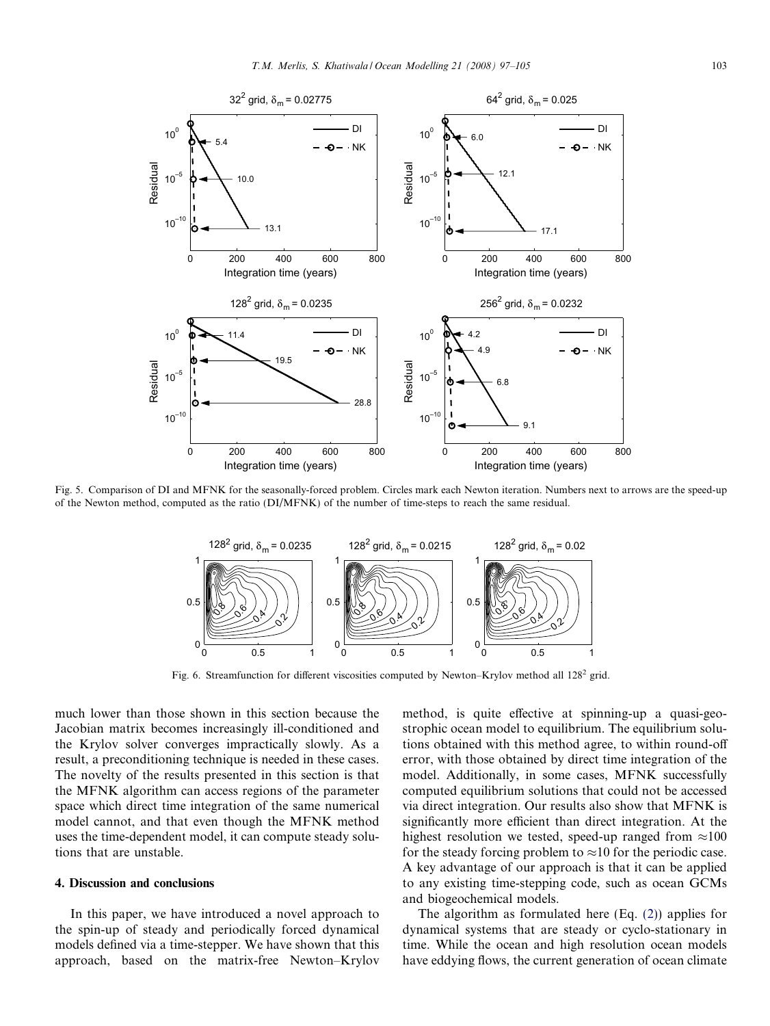<span id="page-6-0"></span>

Fig. 5. Comparison of DI and MFNK for the seasonally-forced problem. Circles mark each Newton iteration. Numbers next to arrows are the speed-up of the Newton method, computed as the ratio (DI/MFNK) of the number of time-steps to reach the same residual.



Fig. 6. Streamfunction for different viscosities computed by Newton–Krylov method all 128<sup>2</sup> grid.

much lower than those shown in this section because the Jacobian matrix becomes increasingly ill-conditioned and the Krylov solver converges impractically slowly. As a result, a preconditioning technique is needed in these cases. The novelty of the results presented in this section is that the MFNK algorithm can access regions of the parameter space which direct time integration of the same numerical model cannot, and that even though the MFNK method uses the time-dependent model, it can compute steady solutions that are unstable.

#### 4. Discussion and conclusions

In this paper, we have introduced a novel approach to the spin-up of steady and periodically forced dynamical models defined via a time-stepper. We have shown that this approach, based on the matrix-free Newton–Krylov method, is quite effective at spinning-up a quasi-geostrophic ocean model to equilibrium. The equilibrium solutions obtained with this method agree, to within round-off error, with those obtained by direct time integration of the model. Additionally, in some cases, MFNK successfully computed equilibrium solutions that could not be accessed via direct integration. Our results also show that MFNK is significantly more efficient than direct integration. At the highest resolution we tested, speed-up ranged from  $\approx 100$ for the steady forcing problem to  $\approx 10$  for the periodic case. A key advantage of our approach is that it can be applied to any existing time-stepping code, such as ocean GCMs and biogeochemical models.

The algorithm as formulated here (Eq. [\(2\)](#page-1-0)) applies for dynamical systems that are steady or cyclo-stationary in time. While the ocean and high resolution ocean models have eddying flows, the current generation of ocean climate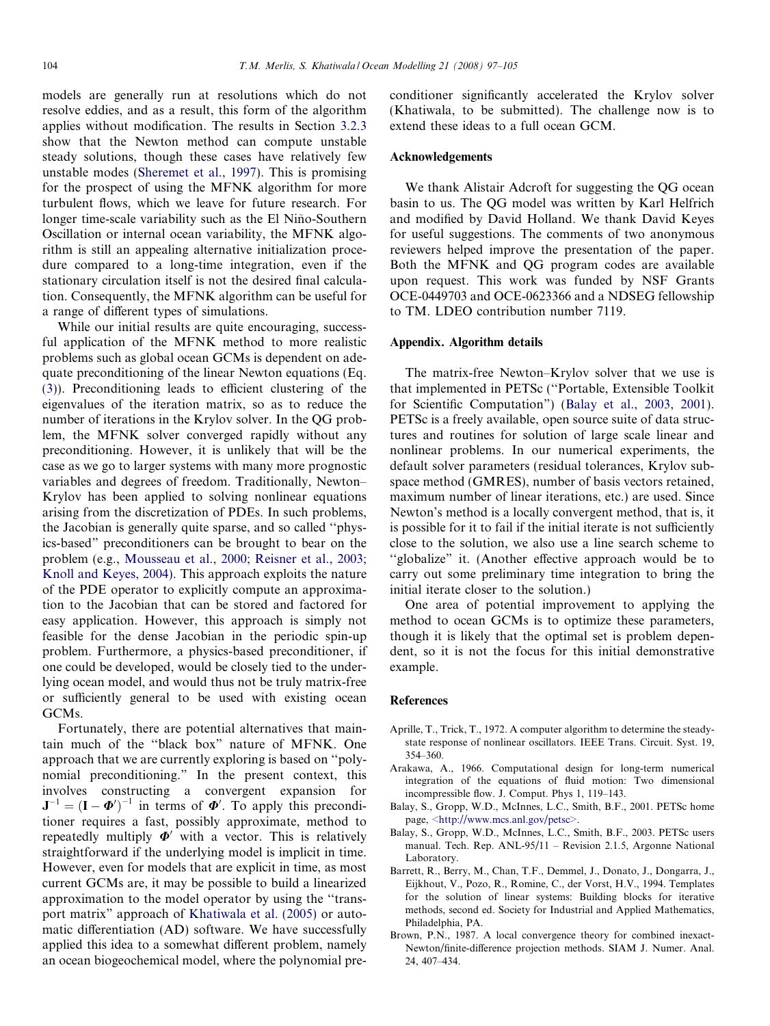<span id="page-7-0"></span>models are generally run at resolutions which do not resolve eddies, and as a result, this form of the algorithm applies without modification. The results in Section [3.2.3](#page-5-0) show that the Newton method can compute unstable steady solutions, though these cases have relatively few unstable modes ([Sheremet et al., 1997](#page-8-0)). This is promising for the prospect of using the MFNK algorithm for more turbulent flows, which we leave for future research. For longer time-scale variability such as the El Niño-Southern Oscillation or internal ocean variability, the MFNK algorithm is still an appealing alternative initialization procedure compared to a long-time integration, even if the stationary circulation itself is not the desired final calculation. Consequently, the MFNK algorithm can be useful for a range of different types of simulations.

While our initial results are quite encouraging, successful application of the MFNK method to more realistic problems such as global ocean GCMs is dependent on adequate preconditioning of the linear Newton equations (Eq. [\(3\)](#page-1-0)). Preconditioning leads to efficient clustering of the eigenvalues of the iteration matrix, so as to reduce the number of iterations in the Krylov solver. In the QG problem, the MFNK solver converged rapidly without any preconditioning. However, it is unlikely that will be the case as we go to larger systems with many more prognostic variables and degrees of freedom. Traditionally, Newton– Krylov has been applied to solving nonlinear equations arising from the discretization of PDEs. In such problems, the Jacobian is generally quite sparse, and so called ''physics-based" preconditioners can be brought to bear on the problem (e.g., [Mousseau et al., 2000; Reisner et al., 2003;](#page-8-0) [Knoll and Keyes, 2004\)](#page-8-0). This approach exploits the nature of the PDE operator to explicitly compute an approximation to the Jacobian that can be stored and factored for easy application. However, this approach is simply not feasible for the dense Jacobian in the periodic spin-up problem. Furthermore, a physics-based preconditioner, if one could be developed, would be closely tied to the underlying ocean model, and would thus not be truly matrix-free or sufficiently general to be used with existing ocean GCMs.

Fortunately, there are potential alternatives that maintain much of the ''black box" nature of MFNK. One approach that we are currently exploring is based on ''polynomial preconditioning." In the present context, this involves constructing a convergent expansion for  $J^{-1} = (I - \Phi')^{-1}$  in terms of  $\Phi'$ . To apply this preconditioner requires a fast, possibly approximate, method to repeatedly multiply  $\Phi'$  with a vector. This is relatively straightforward if the underlying model is implicit in time. However, even for models that are explicit in time, as most current GCMs are, it may be possible to build a linearized approximation to the model operator by using the ''transport matrix" approach of [Khatiwala et al. \(2005\)](#page-8-0) or automatic differentiation (AD) software. We have successfully applied this idea to a somewhat different problem, namely an ocean biogeochemical model, where the polynomial preconditioner significantly accelerated the Krylov solver (Khatiwala, to be submitted). The challenge now is to extend these ideas to a full ocean GCM.

#### Acknowledgements

We thank Alistair Adcroft for suggesting the OG ocean basin to us. The QG model was written by Karl Helfrich and modified by David Holland. We thank David Keyes for useful suggestions. The comments of two anonymous reviewers helped improve the presentation of the paper. Both the MFNK and QG program codes are available upon request. This work was funded by NSF Grants OCE-0449703 and OCE-0623366 and a NDSEG fellowship to TM. LDEO contribution number 7119.

## Appendix. Algorithm details

The matrix-free Newton–Krylov solver that we use is that implemented in PETSc (''Portable, Extensible Toolkit for Scientific Computation") (Balay et al., 2003, 2001). PETSc is a freely available, open source suite of data structures and routines for solution of large scale linear and nonlinear problems. In our numerical experiments, the default solver parameters (residual tolerances, Krylov subspace method (GMRES), number of basis vectors retained, maximum number of linear iterations, etc.) are used. Since Newton's method is a locally convergent method, that is, it is possible for it to fail if the initial iterate is not sufficiently close to the solution, we also use a line search scheme to "globalize" it. (Another effective approach would be to carry out some preliminary time integration to bring the initial iterate closer to the solution.)

One area of potential improvement to applying the method to ocean GCMs is to optimize these parameters, though it is likely that the optimal set is problem dependent, so it is not the focus for this initial demonstrative example.

#### References

- Aprille, T., Trick, T., 1972. A computer algorithm to determine the steadystate response of nonlinear oscillators. IEEE Trans. Circuit. Syst. 19, 354–360.
- Arakawa, A., 1966. Computational design for long-term numerical integration of the equations of fluid motion: Two dimensional incompressible flow. J. Comput. Phys 1, 119–143.
- Balay, S., Gropp, W.D., McInnes, L.C., Smith, B.F., 2001. PETSc home page, [<http://www.mcs.anl.gov/petsc>](http://www.mcs.anl.gov/petsc).
- Balay, S., Gropp, W.D., McInnes, L.C., Smith, B.F., 2003. PETSc users manual. Tech. Rep. ANL-95/11 – Revision 2.1.5, Argonne National Laboratory.
- Barrett, R., Berry, M., Chan, T.F., Demmel, J., Donato, J., Dongarra, J., Eijkhout, V., Pozo, R., Romine, C., der Vorst, H.V., 1994. Templates for the solution of linear systems: Building blocks for iterative methods, second ed. Society for Industrial and Applied Mathematics, Philadelphia, PA.
- Brown, P.N., 1987. A local convergence theory for combined inexact-Newton/finite-difference projection methods. SIAM J. Numer. Anal. 24, 407–434.